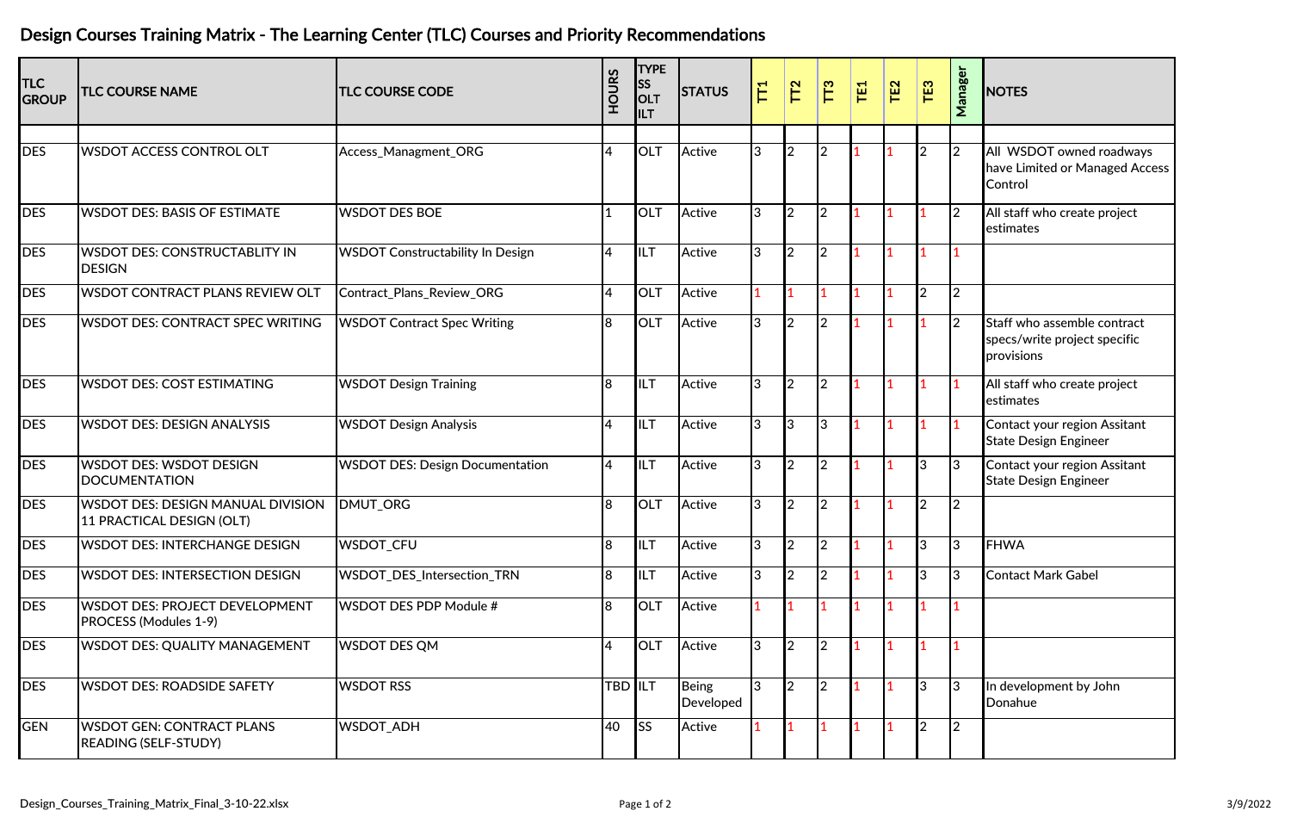## Design Courses Training Matrix ‐ The Learning Center (TLC) Courses and Priority Recommendations

| <b>TLC</b><br><b>GROUP</b> | <b>TLC COURSE NAME</b>                                                | <b>TLC COURSE CODE</b>                  | <b>HOURS</b>   | <b>TYPE</b><br><b>SS</b><br>OLT<br>ILT | <b>STATUS</b>             | $\overline{\Gamma}$ | TT <sub>2</sub> | TT <sub>3</sub> | TE <sub>1</sub> | TE <sub>2</sub> | TE3           | Manager        | <b>NOTES</b>                                                              |
|----------------------------|-----------------------------------------------------------------------|-----------------------------------------|----------------|----------------------------------------|---------------------------|---------------------|-----------------|-----------------|-----------------|-----------------|---------------|----------------|---------------------------------------------------------------------------|
|                            |                                                                       |                                         |                |                                        |                           |                     |                 |                 |                 |                 |               |                |                                                                           |
| <b>DES</b>                 | <b>WSDOT ACCESS CONTROL OLT</b>                                       | Access_Managment_ORG                    | $\overline{4}$ | OLT                                    | Active                    | 3                   | $\overline{2}$  | $\mathfrak{D}$  |                 |                 | <sup>2</sup>  | $\overline{2}$ | All WSDOT owned roadways<br>have Limited or Managed Access<br>Control     |
| <b>DES</b>                 | <b>WSDOT DES: BASIS OF ESTIMATE</b>                                   | <b>WSDOT DES BOE</b>                    |                | <b>OLT</b>                             | Active                    | 3                   | $\overline{2}$  | $\overline{2}$  |                 |                 |               | 2              | All staff who create project<br>estimates                                 |
| <b>DES</b>                 | <b>WSDOT DES: CONSTRUCTABLITY IN</b><br><b>DESIGN</b>                 | <b>WSDOT Constructability In Design</b> | $\overline{4}$ | ILT                                    | Active                    | 3                   | $\overline{2}$  | $\overline{2}$  |                 |                 |               |                |                                                                           |
| <b>DES</b>                 | <b>WSDOT CONTRACT PLANS REVIEW OLT</b>                                | Contract_Plans_Review_ORG               | $\overline{4}$ | OLT                                    | Active                    |                     |                 |                 |                 |                 | <b>l</b> 2    | $\overline{2}$ |                                                                           |
| <b>DES</b>                 | <b>WSDOT DES: CONTRACT SPEC WRITING</b>                               | <b>WSDOT Contract Spec Writing</b>      | 8              | <b>OLT</b>                             | Active                    | 3                   | 2               | $\mathfrak{D}$  |                 |                 |               | <b>2</b>       | Staff who assemble contract<br>specs/write project specific<br>provisions |
| <b>DES</b>                 | <b>WSDOT DES: COST ESTIMATING</b>                                     | <b>WSDOT Design Training</b>            | $\overline{8}$ | <b>ILT</b>                             | Active                    | 3                   | $\overline{2}$  | $\overline{2}$  |                 |                 |               |                | All staff who create project<br>estimates                                 |
| <b>DES</b>                 | <b>WSDOT DES: DESIGN ANALYSIS</b>                                     | <b>WSDOT Design Analysis</b>            | 4              | <b>ILT</b>                             | Active                    | 3                   | 3               | $\overline{3}$  |                 |                 |               |                | Contact your region Assitant<br><b>State Design Engineer</b>              |
| <b>DES</b>                 | <b>WSDOT DES: WSDOT DESIGN</b><br><b>DOCUMENTATION</b>                | <b>WSDOT DES: Design Documentation</b>  | <b>4</b>       | <b>ILT</b>                             | Active                    | 3                   | $\overline{2}$  | $\overline{2}$  |                 |                 | l3            | 3              | Contact your region Assitant<br><b>State Design Engineer</b>              |
| DES                        | <b>WSDOT DES: DESIGN MANUAL DIVISION</b><br>11 PRACTICAL DESIGN (OLT) | DMUT_ORG                                | $\overline{8}$ | OLT                                    | Active                    | 3                   | $\overline{2}$  | $\overline{2}$  |                 |                 | <b>l</b> 2    | <b>2</b>       |                                                                           |
| <b>DES</b>                 | <b>WSDOT DES: INTERCHANGE DESIGN</b>                                  | WSDOT_CFU                               | 8              | IILT                                   | Active                    | 3                   | $\overline{2}$  | $\overline{2}$  |                 |                 | IЗ            | 3              | <b>FHWA</b>                                                               |
| <b>DES</b>                 | <b>WSDOT DES: INTERSECTION DESIGN</b>                                 | WSDOT_DES_Intersection_TRN              | 8              | IILT                                   | Active                    | 3                   | $\overline{2}$  | $\overline{2}$  |                 |                 | l3            | 3              | <b>Contact Mark Gabel</b>                                                 |
| <b>DES</b>                 | <b>WSDOT DES: PROJECT DEVELOPMENT</b><br>PROCESS (Modules 1-9)        | <b>WSDOT DES PDP Module #</b>           | $\overline{8}$ | OLT                                    | Active                    |                     |                 |                 |                 |                 |               |                |                                                                           |
| <b>DES</b>                 | <b>WSDOT DES: QUALITY MANAGEMENT</b>                                  | <b>WSDOT DES QM</b>                     | $\overline{4}$ | <b>OLT</b>                             | Active                    | 3                   | $\overline{2}$  | $\overline{2}$  |                 |                 |               |                |                                                                           |
| <b>DES</b>                 | <b>WSDOT DES: ROADSIDE SAFETY</b>                                     | <b>WSDOT RSS</b>                        |                | TBD <b>I</b> ILT                       | <b>Being</b><br>Developed | 3                   | $\overline{2}$  | $\overline{2}$  |                 |                 | l3            | 13             | In development by John<br>Donahue                                         |
| <b>GEN</b>                 | <b>WSDOT GEN: CONTRACT PLANS</b><br><b>READING (SELF-STUDY)</b>       | WSDOT_ADH                               | 40             | <b>SS</b>                              | Active                    |                     |                 |                 |                 |                 | $\mathsf{I}2$ | <b>2</b>       |                                                                           |